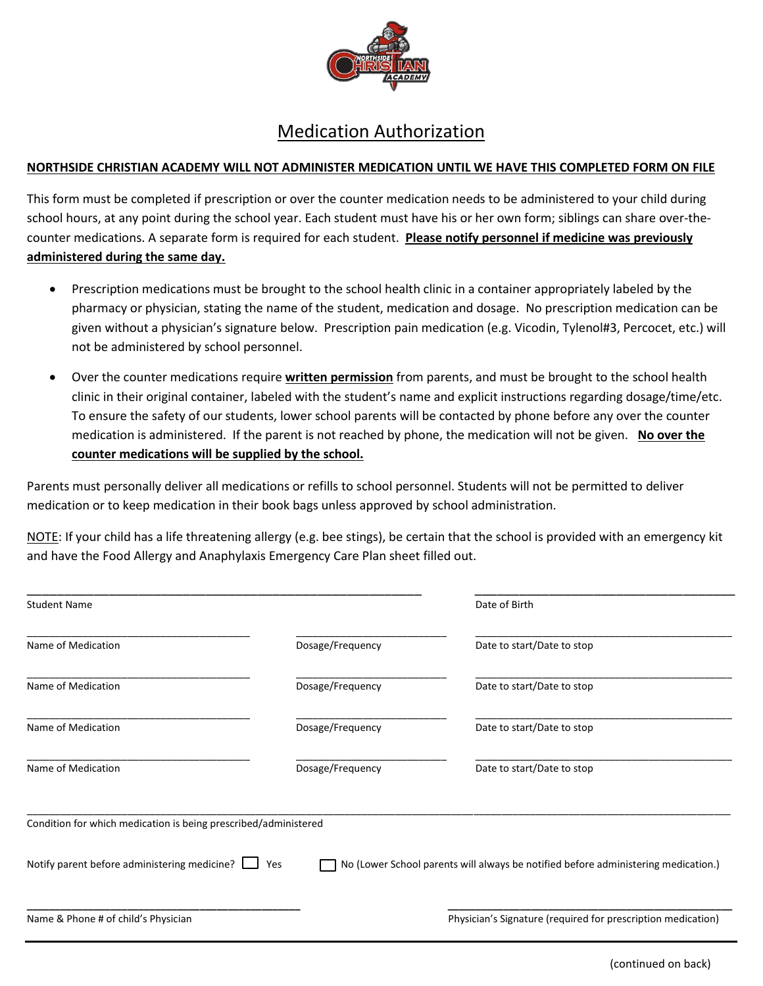

## Medication Authorization

## **NORTHSIDE CHRISTIAN ACADEMY WILL NOT ADMINISTER MEDICATION UNTIL WE HAVE THIS COMPLETED FORM ON FILE**

This form must be completed if prescription or over the counter medication needs to be administered to your child during school hours, at any point during the school year. Each student must have his or her own form; siblings can share over-thecounter medications. A separate form is required for each student. **Please notify personnel if medicine was previously administered during the same day.**

- Prescription medications must be brought to the school health clinic in a container appropriately labeled by the pharmacy or physician, stating the name of the student, medication and dosage. No prescription medication can be given without a physician's signature below. Prescription pain medication (e.g. Vicodin, Tylenol#3, Percocet, etc.) will not be administered by school personnel.
- Over the counter medications require **written permission** from parents, and must be brought to the school health clinic in their original container, labeled with the student's name and explicit instructions regarding dosage/time/etc. To ensure the safety of our students, lower school parents will be contacted by phone before any over the counter medication is administered. If the parent is not reached by phone, the medication will not be given. No over the **counter medications will be supplied by the school.**

Parents must personally deliver all medications or refills to school personnel. Students will not be permitted to deliver medication or to keep medication in their book bags unless approved by school administration.

NOTE: If your child has a life threatening allergy (e.g. bee stings), be certain that the school is provided with an emergency kit and have the Food Allergy and Anaphylaxis Emergency Care Plan sheet filled out.

| <b>Student Name</b>                                             |                  | Date of Birth                                                                      |
|-----------------------------------------------------------------|------------------|------------------------------------------------------------------------------------|
| Name of Medication                                              | Dosage/Frequency | Date to start/Date to stop                                                         |
| Name of Medication                                              | Dosage/Frequency | Date to start/Date to stop                                                         |
| Name of Medication                                              | Dosage/Frequency | Date to start/Date to stop                                                         |
| Name of Medication                                              | Dosage/Frequency | Date to start/Date to stop                                                         |
| Condition for which medication is being prescribed/administered |                  |                                                                                    |
| Notify parent before administering medicine?                    | Yes              | No (Lower School parents will always be notified before administering medication.) |
| Name & Phone # of child's Physician                             |                  | Physician's Signature (required for prescription medication)                       |